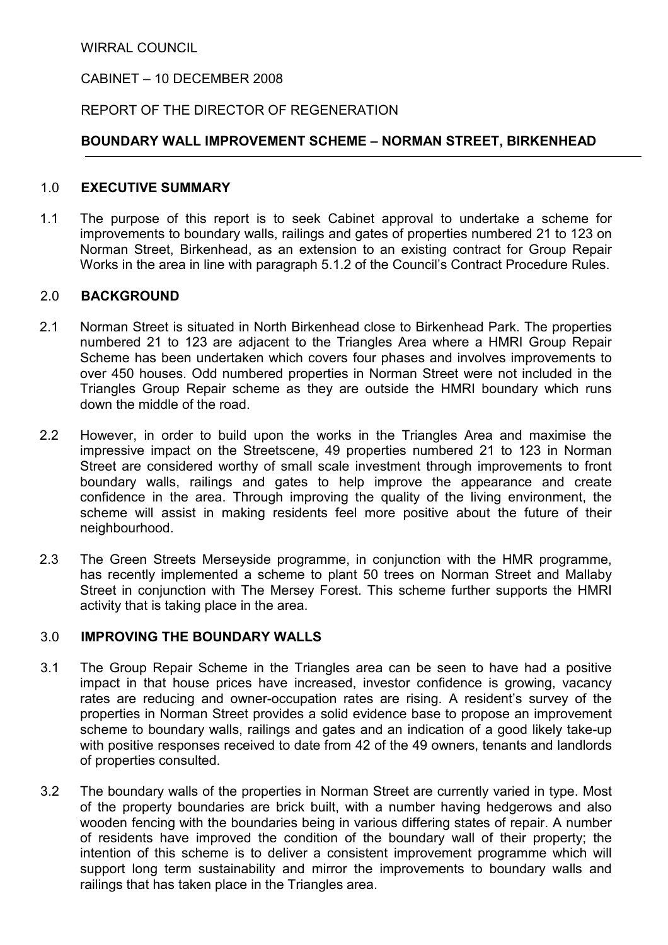WIRRAL COUNCIL

# CABINET – 10 DECEMBER 2008

## REPORT OF THE DIRECTOR OF REGENERATION

### BOUNDARY WALL IMPROVEMENT SCHEME – NORMAN STREET, BIRKENHEAD

#### 1.0 EXECUTIVE SUMMARY

1.1 The purpose of this report is to seek Cabinet approval to undertake a scheme for improvements to boundary walls, railings and gates of properties numbered 21 to 123 on Norman Street, Birkenhead, as an extension to an existing contract for Group Repair Works in the area in line with paragraph 5.1.2 of the Council's Contract Procedure Rules.

#### 2.0 BACKGROUND

- 2.1 Norman Street is situated in North Birkenhead close to Birkenhead Park. The properties numbered 21 to 123 are adjacent to the Triangles Area where a HMRI Group Repair Scheme has been undertaken which covers four phases and involves improvements to over 450 houses. Odd numbered properties in Norman Street were not included in the Triangles Group Repair scheme as they are outside the HMRI boundary which runs down the middle of the road.
- 2.2 However, in order to build upon the works in the Triangles Area and maximise the impressive impact on the Streetscene, 49 properties numbered 21 to 123 in Norman Street are considered worthy of small scale investment through improvements to front boundary walls, railings and gates to help improve the appearance and create confidence in the area. Through improving the quality of the living environment, the scheme will assist in making residents feel more positive about the future of their neighbourhood.
- 2.3 The Green Streets Merseyside programme, in conjunction with the HMR programme, has recently implemented a scheme to plant 50 trees on Norman Street and Mallaby Street in conjunction with The Mersey Forest. This scheme further supports the HMRI activity that is taking place in the area.

### 3.0 IMPROVING THE BOUNDARY WALLS

- 3.1 The Group Repair Scheme in the Triangles area can be seen to have had a positive impact in that house prices have increased, investor confidence is growing, vacancy rates are reducing and owner-occupation rates are rising. A resident's survey of the properties in Norman Street provides a solid evidence base to propose an improvement scheme to boundary walls, railings and gates and an indication of a good likely take-up with positive responses received to date from 42 of the 49 owners, tenants and landlords of properties consulted.
- 3.2 The boundary walls of the properties in Norman Street are currently varied in type. Most of the property boundaries are brick built, with a number having hedgerows and also wooden fencing with the boundaries being in various differing states of repair. A number of residents have improved the condition of the boundary wall of their property; the intention of this scheme is to deliver a consistent improvement programme which will support long term sustainability and mirror the improvements to boundary walls and railings that has taken place in the Triangles area.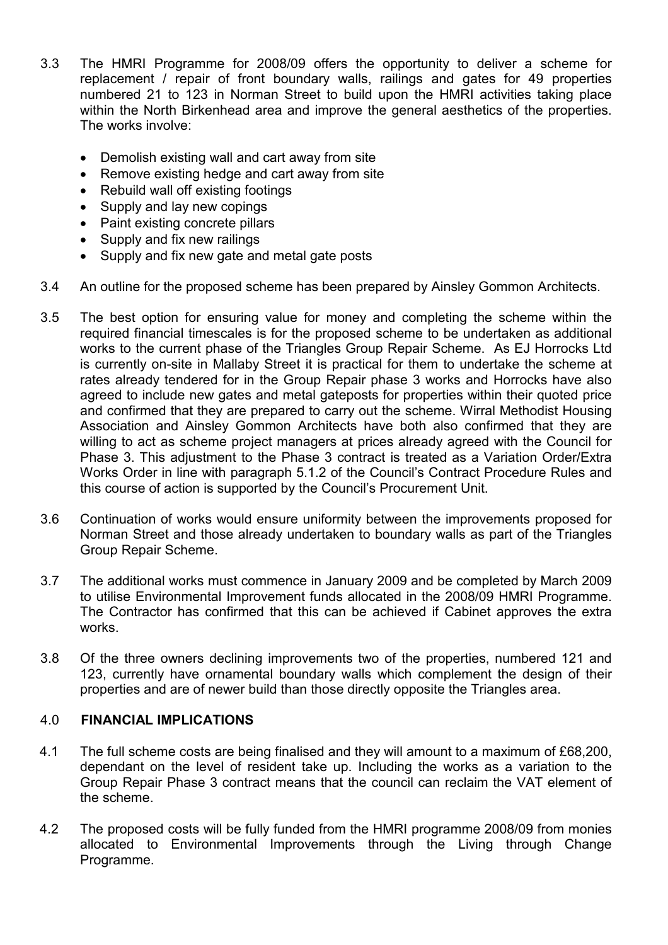- 3.3 The HMRI Programme for 2008/09 offers the opportunity to deliver a scheme for replacement / repair of front boundary walls, railings and gates for 49 properties numbered 21 to 123 in Norman Street to build upon the HMRI activities taking place within the North Birkenhead area and improve the general aesthetics of the properties. The works involve:
	- Demolish existing wall and cart away from site
	- Remove existing hedge and cart away from site
	- Rebuild wall off existing footings
	- Supply and lay new copings
	- Paint existing concrete pillars
	- Supply and fix new railings
	- Supply and fix new gate and metal gate posts
- 3.4 An outline for the proposed scheme has been prepared by Ainsley Gommon Architects.
- 3.5 The best option for ensuring value for money and completing the scheme within the required financial timescales is for the proposed scheme to be undertaken as additional works to the current phase of the Triangles Group Repair Scheme. As EJ Horrocks Ltd is currently on-site in Mallaby Street it is practical for them to undertake the scheme at rates already tendered for in the Group Repair phase 3 works and Horrocks have also agreed to include new gates and metal gateposts for properties within their quoted price and confirmed that they are prepared to carry out the scheme. Wirral Methodist Housing Association and Ainsley Gommon Architects have both also confirmed that they are willing to act as scheme project managers at prices already agreed with the Council for Phase 3. This adjustment to the Phase 3 contract is treated as a Variation Order/Extra Works Order in line with paragraph 5.1.2 of the Council's Contract Procedure Rules and this course of action is supported by the Council's Procurement Unit.
- 3.6 Continuation of works would ensure uniformity between the improvements proposed for Norman Street and those already undertaken to boundary walls as part of the Triangles Group Repair Scheme.
- 3.7 The additional works must commence in January 2009 and be completed by March 2009 to utilise Environmental Improvement funds allocated in the 2008/09 HMRI Programme. The Contractor has confirmed that this can be achieved if Cabinet approves the extra works.
- 3.8 Of the three owners declining improvements two of the properties, numbered 121 and 123, currently have ornamental boundary walls which complement the design of their properties and are of newer build than those directly opposite the Triangles area.

# 4.0 FINANCIAL IMPLICATIONS

- 4.1 The full scheme costs are being finalised and they will amount to a maximum of £68,200, dependant on the level of resident take up. Including the works as a variation to the Group Repair Phase 3 contract means that the council can reclaim the VAT element of the scheme.
- 4.2 The proposed costs will be fully funded from the HMRI programme 2008/09 from monies allocated to Environmental Improvements through the Living through Change Programme.